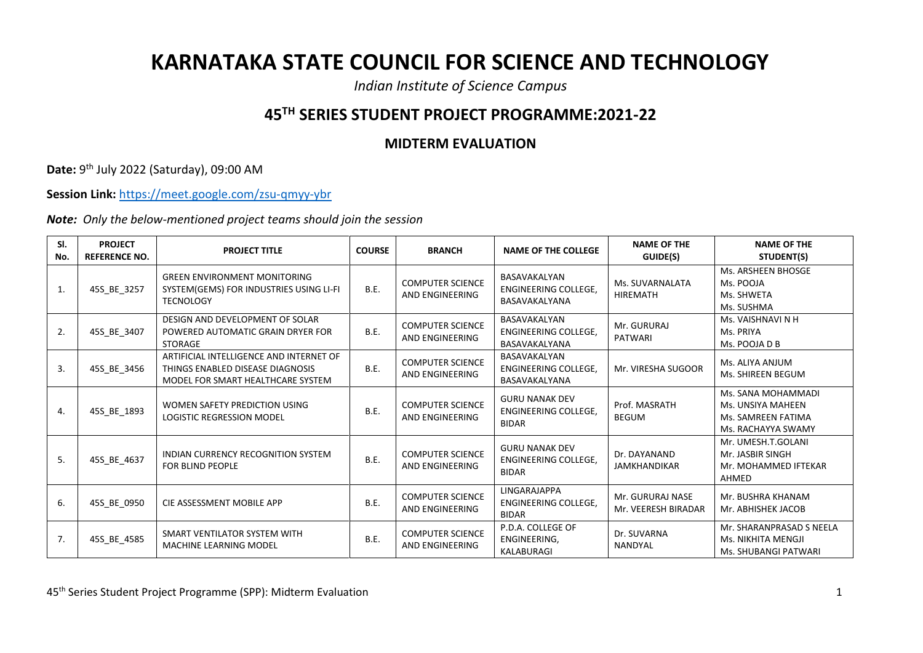## **KARNATAKA STATE COUNCIL FOR SCIENCE AND TECHNOLOGY**

*Indian Institute of Science Campus*

## **45TH SERIES STUDENT PROJECT PROGRAMME:2021-22**

## **MIDTERM EVALUATION**

**Date:** 9 th July 2022 (Saturday), 09:00 AM

**Session Link:** <https://meet.google.com/zsu-qmyy-ybr>

*Note: Only the below-mentioned project teams should join the session*

| SI.<br>No. | <b>PROJECT</b><br><b>REFERENCE NO.</b> | <b>PROJECT TITLE</b>                                                                                             | <b>COURSE</b> | <b>BRANCH</b>                              | <b>NAME OF THE COLLEGE</b>                                           | <b>NAME OF THE</b><br>GUIDE(S)          | <b>NAME OF THE</b><br>STUDENT(S)                                                    |
|------------|----------------------------------------|------------------------------------------------------------------------------------------------------------------|---------------|--------------------------------------------|----------------------------------------------------------------------|-----------------------------------------|-------------------------------------------------------------------------------------|
| 1.         | 45S BE 3257                            | <b>GREEN ENVIRONMENT MONITORING</b><br>SYSTEM(GEMS) FOR INDUSTRIES USING LI-FI<br><b>TECNOLOGY</b>               | <b>B.E.</b>   | <b>COMPUTER SCIENCE</b><br>AND ENGINEERING | BASAVAKALYAN<br><b>ENGINEERING COLLEGE.</b><br>BASAVAKALYANA         | Ms. SUVARNALATA<br><b>HIREMATH</b>      | Ms. ARSHEEN BHOSGE<br>Ms. POOJA<br>Ms. SHWETA<br>Ms. SUSHMA                         |
| 2.         | 45S BE 3407                            | DESIGN AND DEVELOPMENT OF SOLAR<br>POWERED AUTOMATIC GRAIN DRYER FOR<br><b>STORAGE</b>                           | <b>B.E.</b>   | <b>COMPUTER SCIENCE</b><br>AND ENGINEERING | BASAVAKALYAN<br><b>ENGINEERING COLLEGE,</b><br>BASAVAKALYANA         | Mr. GURURAJ<br><b>PATWARI</b>           | Ms. VAISHNAVI N H<br>Ms. PRIYA<br>Ms. POOJA D B                                     |
| 3.         | 45S_BE_3456                            | ARTIFICIAL INTELLIGENCE AND INTERNET OF<br>THINGS ENABLED DISEASE DIAGNOSIS<br>MODEL FOR SMART HEALTHCARE SYSTEM | <b>B.E.</b>   | <b>COMPUTER SCIENCE</b><br>AND ENGINEERING | BASAVAKALYAN<br><b>ENGINEERING COLLEGE,</b><br>BASAVAKALYANA         | Mr. VIRESHA SUGOOR                      | Ms. ALIYA ANJUM<br>Ms. SHIREEN BEGUM                                                |
| 4.         | 45S_BE_1893                            | WOMEN SAFETY PREDICTION USING<br><b>LOGISTIC REGRESSION MODEL</b>                                                | <b>B.E.</b>   | <b>COMPUTER SCIENCE</b><br>AND ENGINEERING | <b>GURU NANAK DEV</b><br><b>ENGINEERING COLLEGE.</b><br><b>BIDAR</b> | Prof. MASRATH<br><b>BEGUM</b>           | Ms. SANA MOHAMMADI<br>Ms. UNSIYA MAHEEN<br>Ms. SAMREEN FATIMA<br>Ms. RACHAYYA SWAMY |
| 5.         | 45S_BE_4637                            | <b>INDIAN CURRENCY RECOGNITION SYSTEM</b><br>FOR BLIND PEOPLE                                                    | <b>B.E.</b>   | <b>COMPUTER SCIENCE</b><br>AND ENGINEERING | <b>GURU NANAK DEV</b><br><b>ENGINEERING COLLEGE.</b><br><b>BIDAR</b> | Dr. DAYANAND<br><b>JAMKHANDIKAR</b>     | Mr. UMESH.T.GOLANI<br>Mr. JASBIR SINGH<br>Mr. MOHAMMED IFTEKAR<br>AHMED             |
| 6.         | 45S BE 0950                            | CIE ASSESSMENT MOBILE APP                                                                                        | <b>B.E.</b>   | <b>COMPUTER SCIENCE</b><br>AND ENGINEERING | <b>LINGARAJAPPA</b><br><b>ENGINEERING COLLEGE.</b><br><b>BIDAR</b>   | Mr. GURURAJ NASE<br>Mr. VEERESH BIRADAR | Mr. BUSHRA KHANAM<br>Mr. ABHISHEK JACOB                                             |
| 7.         | 45S BE 4585                            | SMART VENTILATOR SYSTEM WITH<br><b>MACHINE LEARNING MODEL</b>                                                    | <b>B.E.</b>   | <b>COMPUTER SCIENCE</b><br>AND ENGINEERING | P.D.A. COLLEGE OF<br>ENGINEERING,<br>KALABURAGI                      | Dr. SUVARNA<br><b>NANDYAL</b>           | Mr. SHARANPRASAD S NEELA<br>Ms. NIKHITA MENGJI<br>Ms. SHUBANGI PATWARI              |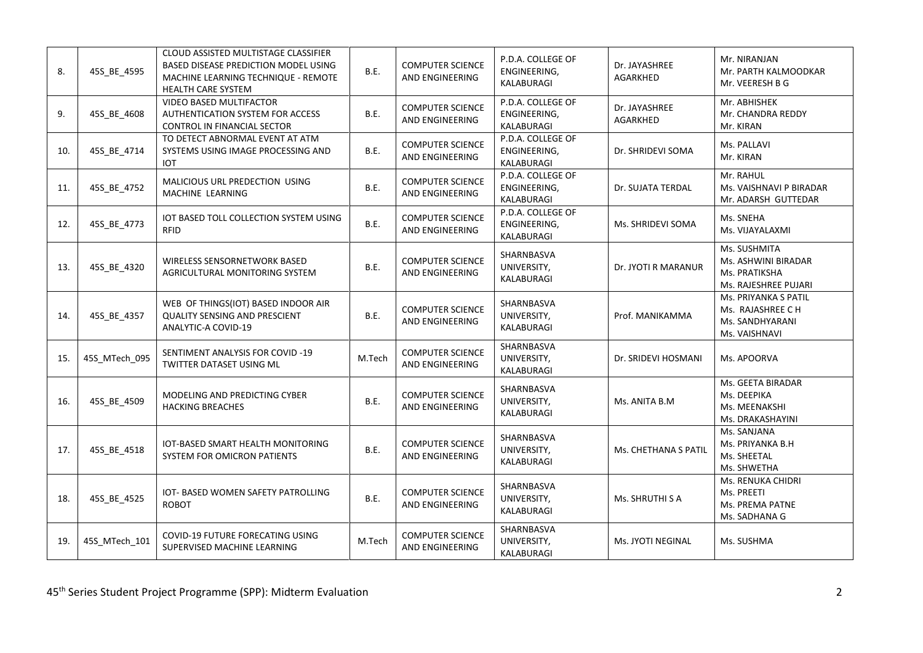| 8.  | 45S_BE_4595   | CLOUD ASSISTED MULTISTAGE CLASSIFIER<br>BASED DISEASE PREDICTION MODEL USING<br>MACHINE LEARNING TECHNIQUE - REMOTE<br><b>HEALTH CARE SYSTEM</b> | B.E.   | <b>COMPUTER SCIENCE</b><br>AND ENGINEERING | P.D.A. COLLEGE OF<br>ENGINEERING,<br>KALABURAGI | Dr. JAYASHREE<br><b>AGARKHED</b> | Mr. NIRANJAN<br>Mr. PARTH KALMOODKAR<br>Mr. VEERESH B G                       |
|-----|---------------|--------------------------------------------------------------------------------------------------------------------------------------------------|--------|--------------------------------------------|-------------------------------------------------|----------------------------------|-------------------------------------------------------------------------------|
| 9.  | 45S_BE_4608   | VIDEO BASED MULTIFACTOR<br>AUTHENTICATION SYSTEM FOR ACCESS<br>CONTROL IN FINANCIAL SECTOR                                                       | B.E.   | <b>COMPUTER SCIENCE</b><br>AND ENGINEERING | P.D.A. COLLEGE OF<br>ENGINEERING,<br>KALABURAGI | Dr. JAYASHREE<br><b>AGARKHED</b> | Mr. ABHISHEK<br>Mr. CHANDRA REDDY<br>Mr. KIRAN                                |
| 10. | 45S_BE_4714   | TO DETECT ABNORMAL EVENT AT ATM<br>SYSTEMS USING IMAGE PROCESSING AND<br><b>IOT</b>                                                              | B.E.   | <b>COMPUTER SCIENCE</b><br>AND ENGINEERING | P.D.A. COLLEGE OF<br>ENGINEERING,<br>KALABURAGI | Dr. SHRIDEVI SOMA                | Ms. PALLAVI<br>Mr. KIRAN                                                      |
| 11. | 45S_BE_4752   | MALICIOUS URL PREDECTION USING<br>MACHINE LEARNING                                                                                               | B.E.   | <b>COMPUTER SCIENCE</b><br>AND ENGINEERING | P.D.A. COLLEGE OF<br>ENGINEERING,<br>KALABURAGI | Dr. SUJATA TERDAL                | Mr. RAHUL<br>Ms. VAISHNAVI P BIRADAR<br>Mr. ADARSH GUTTEDAR                   |
| 12. | 45S_BE_4773   | IOT BASED TOLL COLLECTION SYSTEM USING<br>RFID                                                                                                   | B.E.   | <b>COMPUTER SCIENCE</b><br>AND ENGINEERING | P.D.A. COLLEGE OF<br>ENGINEERING,<br>KALABURAGI | Ms. SHRIDEVI SOMA                | Ms. SNEHA<br>Ms. VIJAYALAXMI                                                  |
| 13. | 45S_BE_4320   | WIRELESS SENSORNETWORK BASED<br>AGRICULTURAL MONITORING SYSTEM                                                                                   | B.E.   | <b>COMPUTER SCIENCE</b><br>AND ENGINEERING | SHARNBASVA<br>UNIVERSITY,<br>KALABURAGI         | Dr. JYOTI R MARANUR              | Ms. SUSHMITA<br>Ms. ASHWINI BIRADAR<br>Ms. PRATIKSHA<br>Ms. RAJESHREE PUJARI  |
| 14. | 45S BE 4357   | WEB OF THINGS(IOT) BASED INDOOR AIR<br><b>QUALITY SENSING AND PRESCIENT</b><br>ANALYTIC-A COVID-19                                               | B.E.   | <b>COMPUTER SCIENCE</b><br>AND ENGINEERING | SHARNBASVA<br>UNIVERSITY,<br>KALABURAGI         | Prof. MANIKAMMA                  | Ms. PRIYANKA S PATIL<br>Ms. RAJASHREE C H<br>Ms. SANDHYARANI<br>Ms. VAISHNAVI |
| 15. | 45S_MTech_095 | SENTIMENT ANALYSIS FOR COVID -19<br>TWITTER DATASET USING ML                                                                                     | M.Tech | <b>COMPUTER SCIENCE</b><br>AND ENGINEERING | SHARNBASVA<br>UNIVERSITY,<br>KALABURAGI         | Dr. SRIDEVI HOSMANI              | Ms. APOORVA                                                                   |
| 16. | 45S_BE_4509   | MODELING AND PREDICTING CYBER<br><b>HACKING BREACHES</b>                                                                                         | B.E.   | <b>COMPUTER SCIENCE</b><br>AND ENGINEERING | SHARNBASVA<br>UNIVERSITY,<br>KALABURAGI         | Ms. ANITA B.M                    | Ms. GEETA BIRADAR<br>Ms. DEEPIKA<br>Ms. MEENAKSHI<br>Ms. DRAKASHAYINI         |
| 17. | 45S_BE_4518   | IOT-BASED SMART HEALTH MONITORING<br>SYSTEM FOR OMICRON PATIENTS                                                                                 | B.E.   | <b>COMPUTER SCIENCE</b><br>AND ENGINEERING | SHARNBASVA<br>UNIVERSITY,<br>KALABURAGI         | Ms. CHETHANA S PATIL             | Ms. SANJANA<br>Ms. PRIYANKA B.H<br>Ms. SHEETAL<br>Ms. SHWETHA                 |
| 18. | 45S_BE_4525   | IOT- BASED WOMEN SAFETY PATROLLING<br><b>ROBOT</b>                                                                                               | B.E.   | <b>COMPUTER SCIENCE</b><br>AND ENGINEERING | SHARNBASVA<br>UNIVERSITY,<br>KALABURAGI         | Ms. SHRUTHI S A                  | Ms. RENUKA CHIDRI<br>Ms. PREETI<br>Ms. PREMA PATNE<br>Ms. SADHANA G           |
| 19. | 45S_MTech_101 | COVID-19 FUTURE FORECATING USING<br>SUPERVISED MACHINE LEARNING                                                                                  | M.Tech | <b>COMPUTER SCIENCE</b><br>AND ENGINEERING | SHARNBASVA<br>UNIVERSITY,<br>KALABURAGI         | Ms. JYOTI NEGINAL                | Ms. SUSHMA                                                                    |